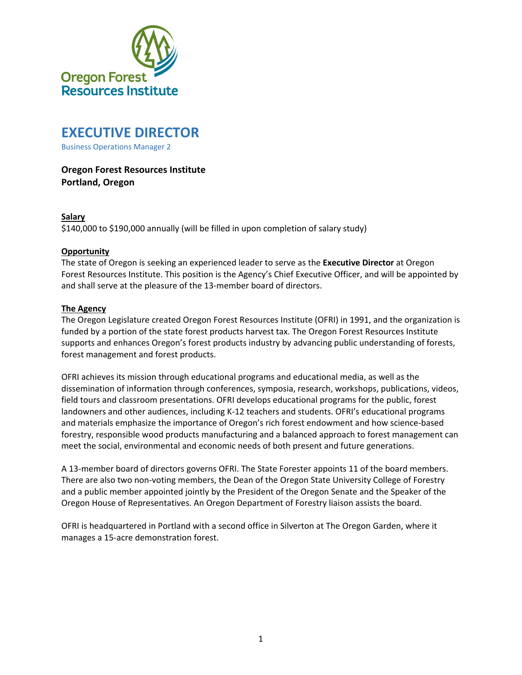

# **EXECUTIVE DIRECTOR**

Business Operations Manager 2

# **Oregon Forest Resources Institute Portland, Oregon**

#### **Salary**

\$140,000 to \$190,000 annually (will be filled in upon completion of salary study)

#### **Opportunity**

The state of Oregon is seeking an experienced leader to serve as the **Executive Director** at Oregon Forest Resources Institute. This position is the Agency's Chief Executive Officer, and will be appointed by and shall serve at the pleasure of the 13-member board of directors.

#### **The Agency**

The Oregon Legislature created Oregon Forest Resources Institute (OFRI) in 1991, and the organization is funded by a portion of the state forest products harvest tax. The Oregon Forest Resources Institute supports and enhances Oregon's forest products industry by advancing public understanding of forests, forest management and forest products.

OFRI achieves its mission through educational programs and educational media, as well as the dissemination of information through conferences, symposia, research, workshops, publications, videos, field tours and classroom presentations. OFRI develops educational programs for the public, forest landowners and other audiences, including K‐12 teachers and students. OFRI's educational programs and materials emphasize the importance of Oregon's rich forest endowment and how science‐based forestry, responsible wood products manufacturing and a balanced approach to forest management can meet the social, environmental and economic needs of both present and future generations.

A 13‐member board of directors governs OFRI. The State Forester appoints 11 of the board members. There are also two non‐voting members, the Dean of the Oregon State University College of Forestry and a public member appointed jointly by the President of the Oregon Senate and the Speaker of the Oregon House of Representatives. An Oregon Department of Forestry liaison assists the board.

OFRI is headquartered in Portland with a second office in Silverton at The Oregon Garden, where it manages a 15‐acre demonstration forest.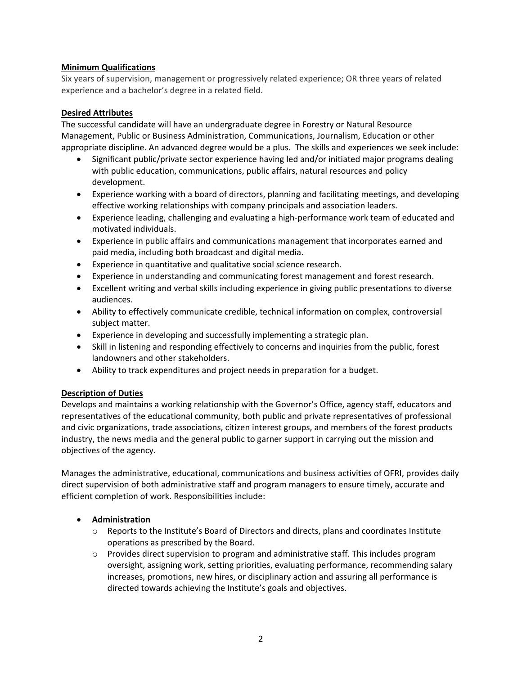# **Minimum Qualifications**

Six years of supervision, management or progressively related experience; OR three years of related experience and a bachelor's degree in a related field.

## **Desired Attributes**

The successful candidate will have an undergraduate degree in Forestry or Natural Resource Management, Public or Business Administration, Communications, Journalism, Education or other appropriate discipline. An advanced degree would be a plus. The skills and experiences we seek include:

- Significant public/private sector experience having led and/or initiated major programs dealing with public education, communications, public affairs, natural resources and policy development.
- Experience working with a board of directors, planning and facilitating meetings, and developing effective working relationships with company principals and association leaders.
- Experience leading, challenging and evaluating a high‐performance work team of educated and motivated individuals.
- Experience in public affairs and communications management that incorporates earned and paid media, including both broadcast and digital media.
- Experience in quantitative and qualitative social science research.
- Experience in understanding and communicating forest management and forest research.
- Excellent writing and verbal skills including experience in giving public presentations to diverse audiences.
- Ability to effectively communicate credible, technical information on complex, controversial subject matter.
- Experience in developing and successfully implementing a strategic plan.
- Skill in listening and responding effectively to concerns and inquiries from the public, forest landowners and other stakeholders.
- Ability to track expenditures and project needs in preparation for a budget.

#### **Description of Duties**

Develops and maintains a working relationship with the Governor's Office, agency staff, educators and representatives of the educational community, both public and private representatives of professional and civic organizations, trade associations, citizen interest groups, and members of the forest products industry, the news media and the general public to garner support in carrying out the mission and objectives of the agency.

Manages the administrative, educational, communications and business activities of OFRI, provides daily direct supervision of both administrative staff and program managers to ensure timely, accurate and efficient completion of work. Responsibilities include:

# **Administration**

- $\circ$  Reports to the Institute's Board of Directors and directs, plans and coordinates Institute operations as prescribed by the Board.
- $\circ$  Provides direct supervision to program and administrative staff. This includes program oversight, assigning work, setting priorities, evaluating performance, recommending salary increases, promotions, new hires, or disciplinary action and assuring all performance is directed towards achieving the Institute's goals and objectives.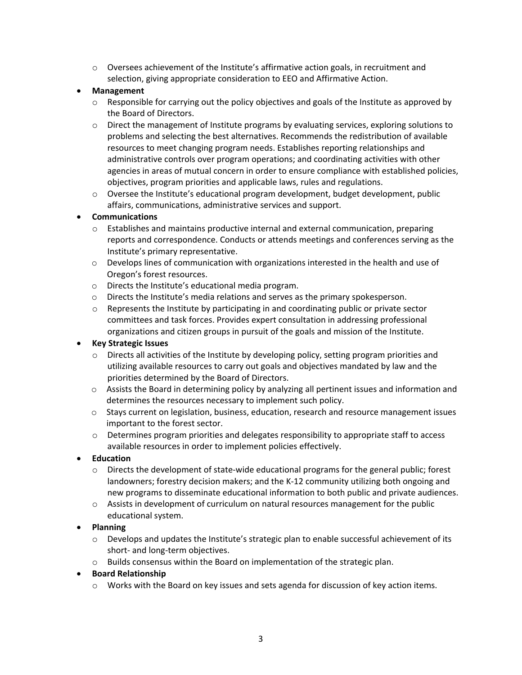o Oversees achievement of the Institute's affirmative action goals, in recruitment and selection, giving appropriate consideration to EEO and Affirmative Action.

# **Management**

- $\circ$  Responsible for carrying out the policy objectives and goals of the Institute as approved by the Board of Directors.
- o Direct the management of Institute programs by evaluating services, exploring solutions to problems and selecting the best alternatives. Recommends the redistribution of available resources to meet changing program needs. Establishes reporting relationships and administrative controls over program operations; and coordinating activities with other agencies in areas of mutual concern in order to ensure compliance with established policies, objectives, program priorities and applicable laws, rules and regulations.
- o Oversee the Institute's educational program development, budget development, public affairs, communications, administrative services and support.

# **Communications**

- o Establishes and maintains productive internal and external communication, preparing reports and correspondence. Conducts or attends meetings and conferences serving as the Institute's primary representative.
- $\circ$  Develops lines of communication with organizations interested in the health and use of Oregon's forest resources.
- o Directs the Institute's educational media program.
- o Directs the Institute's media relations and serves as the primary spokesperson.
- $\circ$  Represents the Institute by participating in and coordinating public or private sector committees and task forces. Provides expert consultation in addressing professional organizations and citizen groups in pursuit of the goals and mission of the Institute.

# **Key Strategic Issues**

- $\circ$  Directs all activities of the Institute by developing policy, setting program priorities and utilizing available resources to carry out goals and objectives mandated by law and the priorities determined by the Board of Directors.
- o Assists the Board in determining policy by analyzing all pertinent issues and information and determines the resources necessary to implement such policy.
- o Stays current on legislation, business, education, research and resource management issues important to the forest sector.
- $\circ$  Determines program priorities and delegates responsibility to appropriate staff to access available resources in order to implement policies effectively.

#### **Education**

- o Directs the development of state‐wide educational programs for the general public; forest landowners; forestry decision makers; and the K‐12 community utilizing both ongoing and new programs to disseminate educational information to both public and private audiences.
- $\circ$  Assists in development of curriculum on natural resources management for the public educational system.

#### **Planning**

- o Develops and updates the Institute's strategic plan to enable successful achievement of its short- and long-term objectives.
- o Builds consensus within the Board on implementation of the strategic plan.

#### **Board Relationship**

o Works with the Board on key issues and sets agenda for discussion of key action items.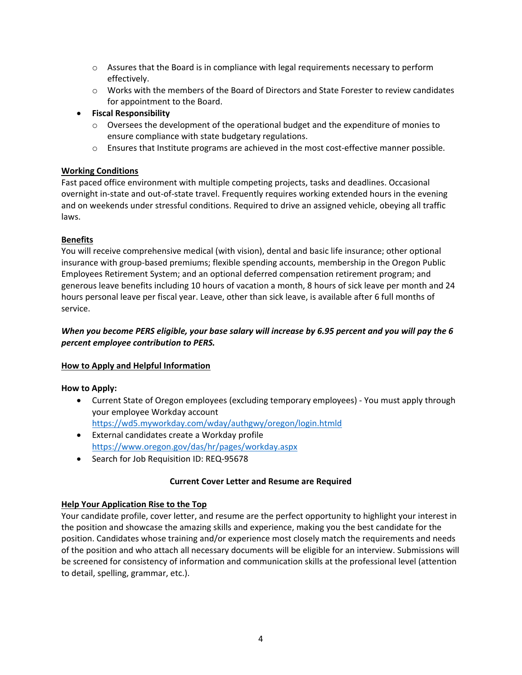- o Assures that the Board is in compliance with legal requirements necessary to perform effectively.
- $\circ$  Works with the members of the Board of Directors and State Forester to review candidates for appointment to the Board.
- **Fiscal Responsibility**
	- $\circ$  Oversees the development of the operational budget and the expenditure of monies to ensure compliance with state budgetary regulations.
	- o Ensures that Institute programs are achieved in the most cost‐effective manner possible.

# **Working Conditions**

Fast paced office environment with multiple competing projects, tasks and deadlines. Occasional overnight in-state and out-of-state travel. Frequently requires working extended hours in the evening and on weekends under stressful conditions. Required to drive an assigned vehicle, obeying all traffic laws.

# **Benefits**

You will receive comprehensive medical (with vision), dental and basic life insurance; other optional insurance with group‐based premiums; flexible spending accounts, membership in the Oregon Public Employees Retirement System; and an optional deferred compensation retirement program; and generous leave benefits including 10 hours of vacation a month, 8 hours of sick leave per month and 24 hours personal leave per fiscal year. Leave, other than sick leave, is available after 6 full months of service.

# When you become PERS eligible, your base salary will increase by 6.95 percent and you will pay the 6 *percent employee contribution to PERS.*

#### **How to Apply and Helpful Information**

#### **How to Apply:**

- Current State of Oregon employees (excluding temporary employees) ‐ You must apply through your employee Workday account https://wd5.myworkday.com/wday/authgwy/oregon/login.htmld
- External candidates create a Workday profile https://www.oregon.gov/das/hr/pages/workday.aspx
- Search for Job Requisition ID: REQ-95678

#### **Current Cover Letter and Resume are Required**

#### **Help Your Application Rise to the Top**

Your candidate profile, cover letter, and resume are the perfect opportunity to highlight your interest in the position and showcase the amazing skills and experience, making you the best candidate for the position. Candidates whose training and/or experience most closely match the requirements and needs of the position and who attach all necessary documents will be eligible for an interview. Submissions will be screened for consistency of information and communication skills at the professional level (attention to detail, spelling, grammar, etc.).